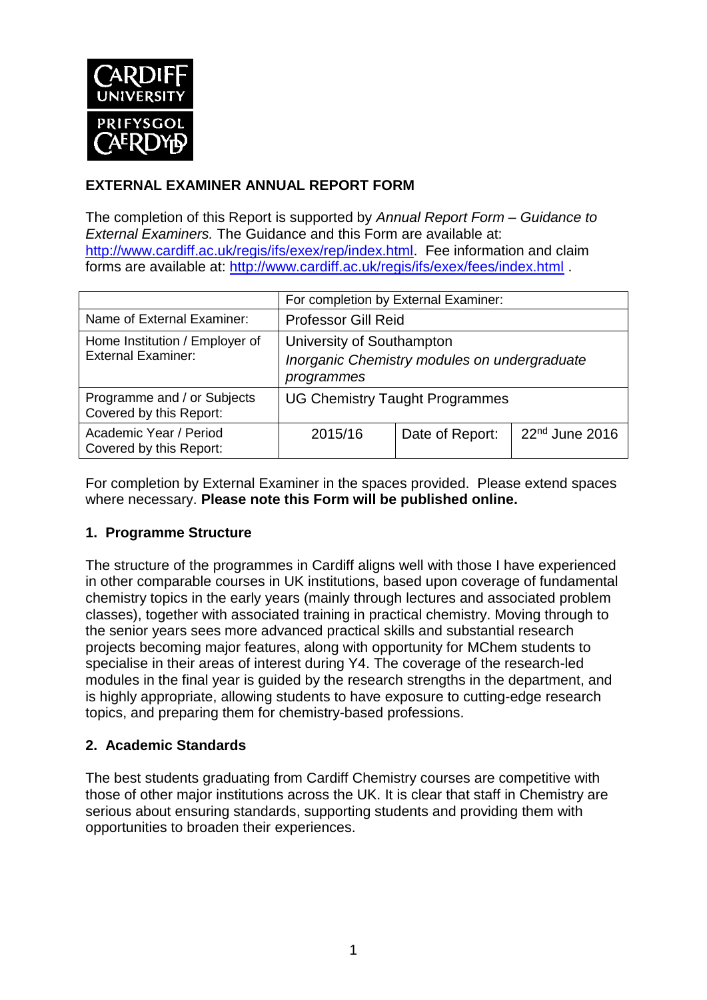

# **EXTERNAL EXAMINER ANNUAL REPORT FORM**

The completion of this Report is supported by *Annual Report Form – Guidance to External Examiners.* The Guidance and this Form are available at: [http://www.cardiff.ac.uk/regis/ifs/exex/rep/index.html.](http://www.cardiff.ac.uk/regis/ifs/exex/rep/index.html) Fee information and claim forms are available at:<http://www.cardiff.ac.uk/regis/ifs/exex/fees/index.html> .

|                                                             | For completion by External Examiner:                                                    |                 |                            |  |  |
|-------------------------------------------------------------|-----------------------------------------------------------------------------------------|-----------------|----------------------------|--|--|
| Name of External Examiner:                                  | <b>Professor Gill Reid</b>                                                              |                 |                            |  |  |
| Home Institution / Employer of<br><b>External Examiner:</b> | University of Southampton<br>Inorganic Chemistry modules on undergraduate<br>programmes |                 |                            |  |  |
| Programme and / or Subjects<br>Covered by this Report:      | <b>UG Chemistry Taught Programmes</b>                                                   |                 |                            |  |  |
| Academic Year / Period<br>Covered by this Report:           | 2015/16                                                                                 | Date of Report: | 22 <sup>nd</sup> June 2016 |  |  |

For completion by External Examiner in the spaces provided. Please extend spaces where necessary. **Please note this Form will be published online.**

## **1. Programme Structure**

The structure of the programmes in Cardiff aligns well with those I have experienced in other comparable courses in UK institutions, based upon coverage of fundamental chemistry topics in the early years (mainly through lectures and associated problem classes), together with associated training in practical chemistry. Moving through to the senior years sees more advanced practical skills and substantial research projects becoming major features, along with opportunity for MChem students to specialise in their areas of interest during Y4. The coverage of the research-led modules in the final year is guided by the research strengths in the department, and is highly appropriate, allowing students to have exposure to cutting-edge research topics, and preparing them for chemistry-based professions.

## **2. Academic Standards**

The best students graduating from Cardiff Chemistry courses are competitive with those of other major institutions across the UK. It is clear that staff in Chemistry are serious about ensuring standards, supporting students and providing them with opportunities to broaden their experiences.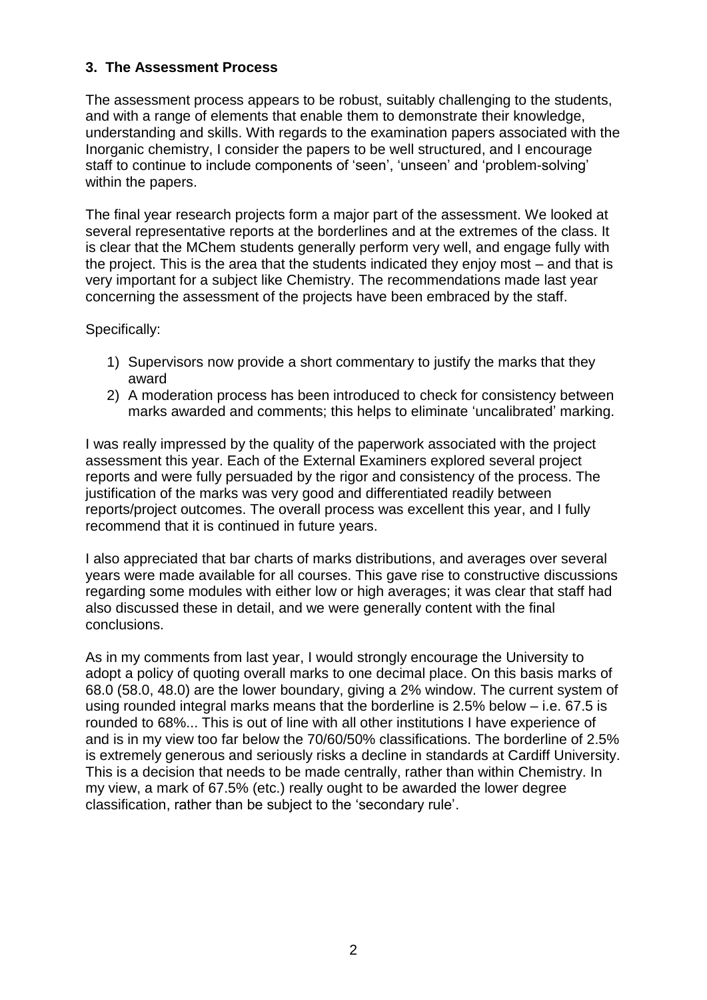#### **3. The Assessment Process**

The assessment process appears to be robust, suitably challenging to the students, and with a range of elements that enable them to demonstrate their knowledge, understanding and skills. With regards to the examination papers associated with the Inorganic chemistry, I consider the papers to be well structured, and I encourage staff to continue to include components of 'seen', 'unseen' and 'problem-solving' within the papers.

The final year research projects form a major part of the assessment. We looked at several representative reports at the borderlines and at the extremes of the class. It is clear that the MChem students generally perform very well, and engage fully with the project. This is the area that the students indicated they enjoy most – and that is very important for a subject like Chemistry. The recommendations made last year concerning the assessment of the projects have been embraced by the staff.

Specifically:

- 1) Supervisors now provide a short commentary to justify the marks that they award
- 2) A moderation process has been introduced to check for consistency between marks awarded and comments; this helps to eliminate 'uncalibrated' marking.

I was really impressed by the quality of the paperwork associated with the project assessment this year. Each of the External Examiners explored several project reports and were fully persuaded by the rigor and consistency of the process. The justification of the marks was very good and differentiated readily between reports/project outcomes. The overall process was excellent this year, and I fully recommend that it is continued in future years.

I also appreciated that bar charts of marks distributions, and averages over several years were made available for all courses. This gave rise to constructive discussions regarding some modules with either low or high averages; it was clear that staff had also discussed these in detail, and we were generally content with the final conclusions.

As in my comments from last year, I would strongly encourage the University to adopt a policy of quoting overall marks to one decimal place. On this basis marks of 68.0 (58.0, 48.0) are the lower boundary, giving a 2% window. The current system of using rounded integral marks means that the borderline is 2.5% below – i.e. 67.5 is rounded to 68%... This is out of line with all other institutions I have experience of and is in my view too far below the 70/60/50% classifications. The borderline of 2.5% is extremely generous and seriously risks a decline in standards at Cardiff University. This is a decision that needs to be made centrally, rather than within Chemistry. In my view, a mark of 67.5% (etc.) really ought to be awarded the lower degree classification, rather than be subject to the 'secondary rule'.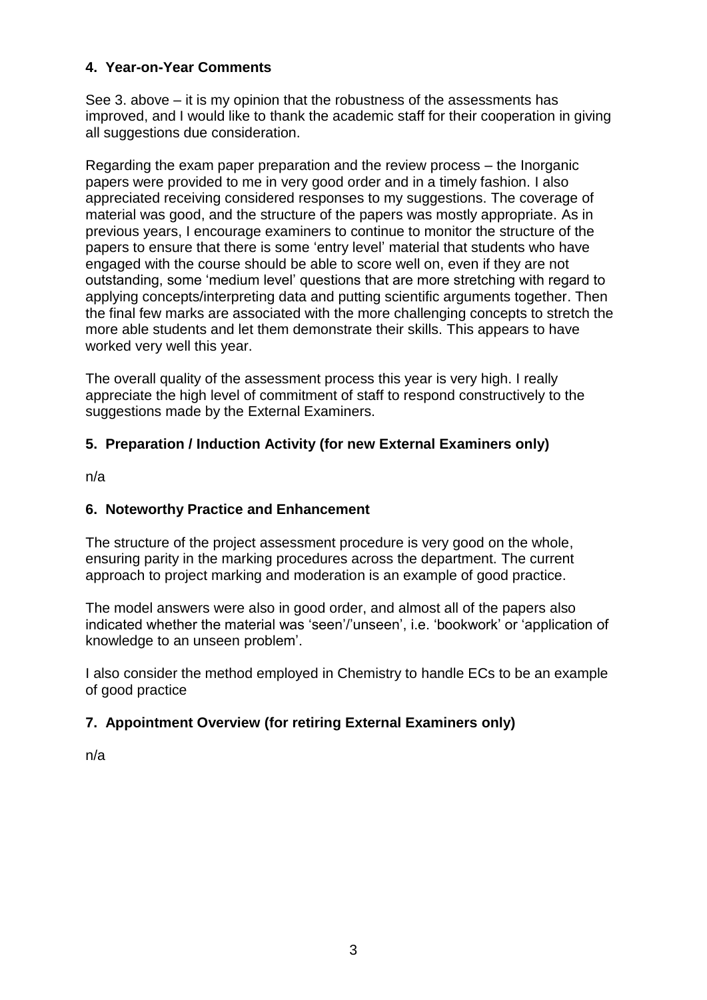#### **4. Year-on-Year Comments**

See 3. above – it is my opinion that the robustness of the assessments has improved, and I would like to thank the academic staff for their cooperation in giving all suggestions due consideration.

Regarding the exam paper preparation and the review process – the Inorganic papers were provided to me in very good order and in a timely fashion. I also appreciated receiving considered responses to my suggestions. The coverage of material was good, and the structure of the papers was mostly appropriate. As in previous years, I encourage examiners to continue to monitor the structure of the papers to ensure that there is some 'entry level' material that students who have engaged with the course should be able to score well on, even if they are not outstanding, some 'medium level' questions that are more stretching with regard to applying concepts/interpreting data and putting scientific arguments together. Then the final few marks are associated with the more challenging concepts to stretch the more able students and let them demonstrate their skills. This appears to have worked very well this year.

The overall quality of the assessment process this year is very high. I really appreciate the high level of commitment of staff to respond constructively to the suggestions made by the External Examiners.

## **5. Preparation / Induction Activity (for new External Examiners only)**

n/a

## **6. Noteworthy Practice and Enhancement**

The structure of the project assessment procedure is very good on the whole, ensuring parity in the marking procedures across the department. The current approach to project marking and moderation is an example of good practice.

The model answers were also in good order, and almost all of the papers also indicated whether the material was 'seen'/'unseen', i.e. 'bookwork' or 'application of knowledge to an unseen problem'.

I also consider the method employed in Chemistry to handle ECs to be an example of good practice

## **7. Appointment Overview (for retiring External Examiners only)**

n/a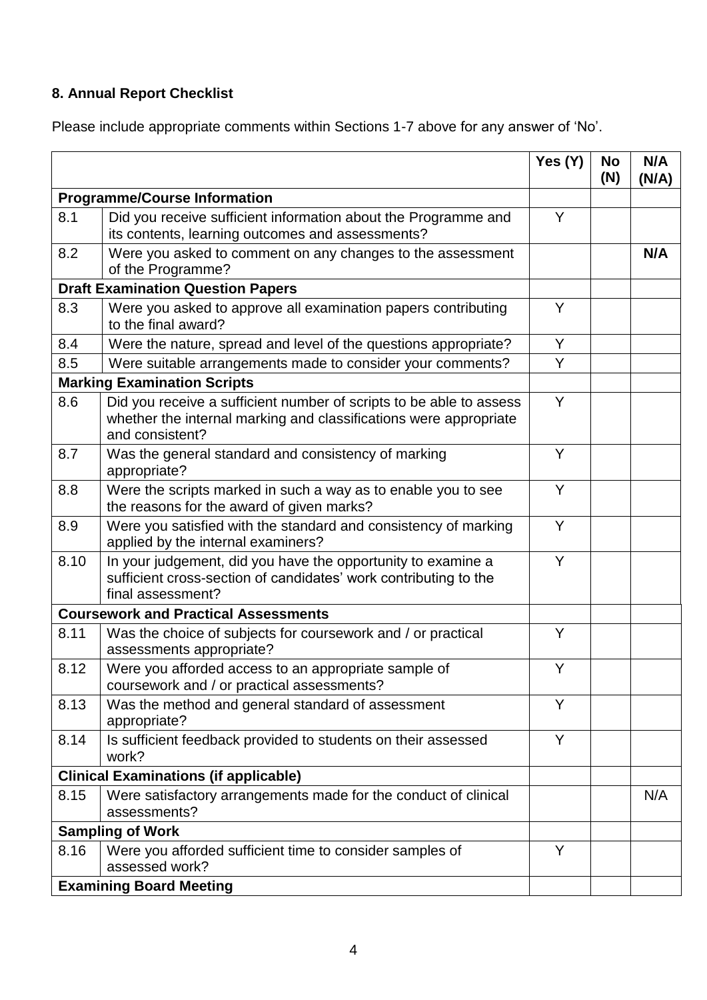# **8. Annual Report Checklist**

Please include appropriate comments within Sections 1-7 above for any answer of 'No'.

|                                          |                                                                                                                                                             | Yes $(Y)$ | <b>No</b><br>(N) | N/A<br>(N/A) |
|------------------------------------------|-------------------------------------------------------------------------------------------------------------------------------------------------------------|-----------|------------------|--------------|
| <b>Programme/Course Information</b>      |                                                                                                                                                             |           |                  |              |
| 8.1                                      | Did you receive sufficient information about the Programme and<br>its contents, learning outcomes and assessments?                                          |           |                  |              |
| 8.2                                      | Were you asked to comment on any changes to the assessment<br>of the Programme?                                                                             |           |                  | N/A          |
| <b>Draft Examination Question Papers</b> |                                                                                                                                                             |           |                  |              |
| 8.3                                      | Were you asked to approve all examination papers contributing<br>to the final award?                                                                        |           |                  |              |
| 8.4                                      | Were the nature, spread and level of the questions appropriate?                                                                                             | Y         |                  |              |
| 8.5                                      | Were suitable arrangements made to consider your comments?                                                                                                  | Y         |                  |              |
| <b>Marking Examination Scripts</b>       |                                                                                                                                                             |           |                  |              |
| 8.6                                      | Did you receive a sufficient number of scripts to be able to assess<br>whether the internal marking and classifications were appropriate<br>and consistent? | Y         |                  |              |
| 8.7                                      | Was the general standard and consistency of marking<br>appropriate?                                                                                         | Y         |                  |              |
| 8.8                                      | Were the scripts marked in such a way as to enable you to see<br>the reasons for the award of given marks?                                                  | Y         |                  |              |
| 8.9                                      | Were you satisfied with the standard and consistency of marking<br>applied by the internal examiners?                                                       | Y         |                  |              |
| 8.10                                     | In your judgement, did you have the opportunity to examine a<br>sufficient cross-section of candidates' work contributing to the<br>final assessment?       | Y         |                  |              |
|                                          | <b>Coursework and Practical Assessments</b>                                                                                                                 |           |                  |              |
| 8.11                                     | Was the choice of subjects for coursework and / or practical<br>assessments appropriate?                                                                    | Y         |                  |              |
| 8.12                                     | Were you afforded access to an appropriate sample of<br>coursework and / or practical assessments?                                                          | Y         |                  |              |
| 8.13                                     | Was the method and general standard of assessment<br>appropriate?                                                                                           | Y         |                  |              |
| 8.14                                     | Is sufficient feedback provided to students on their assessed<br>work?                                                                                      | Y         |                  |              |
|                                          | <b>Clinical Examinations (if applicable)</b>                                                                                                                |           |                  |              |
| 8.15                                     | Were satisfactory arrangements made for the conduct of clinical<br>assessments?                                                                             |           |                  | N/A          |
|                                          | <b>Sampling of Work</b>                                                                                                                                     |           |                  |              |
| 8.16                                     | Were you afforded sufficient time to consider samples of<br>assessed work?                                                                                  | Y         |                  |              |
| <b>Examining Board Meeting</b>           |                                                                                                                                                             |           |                  |              |